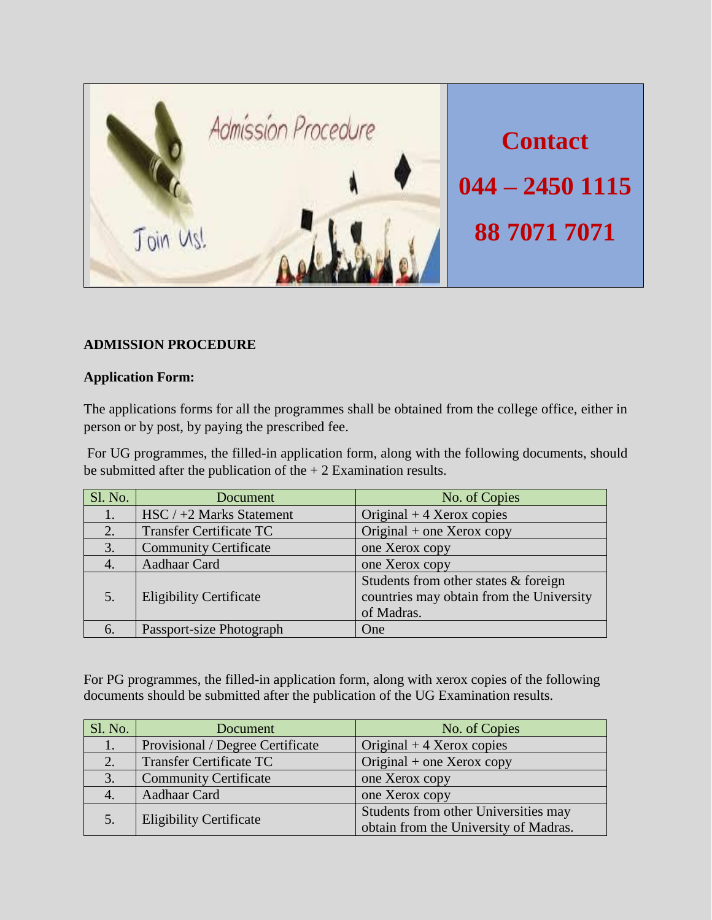

# **ADMISSION PROCEDURE**

## **Application Form:**

The applications forms for all the programmes shall be obtained from the college office, either in person or by post, by paying the prescribed fee.

For UG programmes, the filled-in application form, along with the following documents, should be submitted after the publication of the  $+2$  Examination results.

| Sl. No. | Document                       | No. of Copies                                                                                    |
|---------|--------------------------------|--------------------------------------------------------------------------------------------------|
| 1.      | $HSC / +2$ Marks Statement     | Original $+4$ Xerox copies                                                                       |
| 2.      | <b>Transfer Certificate TC</b> | Original + one Xerox copy                                                                        |
| 3.      | <b>Community Certificate</b>   | one Xerox copy                                                                                   |
|         | Aadhaar Card                   | one Xerox copy                                                                                   |
| 5.      | <b>Eligibility Certificate</b> | Students from other states $&$ foreign<br>countries may obtain from the University<br>of Madras. |
| 6.      | Passport-size Photograph       | One                                                                                              |

For PG programmes, the filled-in application form, along with xerox copies of the following documents should be submitted after the publication of the UG Examination results.

| Sl. No. | Document                         | No. of Copies                                                                 |
|---------|----------------------------------|-------------------------------------------------------------------------------|
| 1.      | Provisional / Degree Certificate | Original $+4$ Xerox copies                                                    |
| 2.      | <b>Transfer Certificate TC</b>   | Original $+$ one Xerox copy                                                   |
| 3.      | <b>Community Certificate</b>     | one Xerox copy                                                                |
|         | Aadhaar Card                     | one Xerox copy                                                                |
|         | <b>Eligibility Certificate</b>   | Students from other Universities may<br>obtain from the University of Madras. |